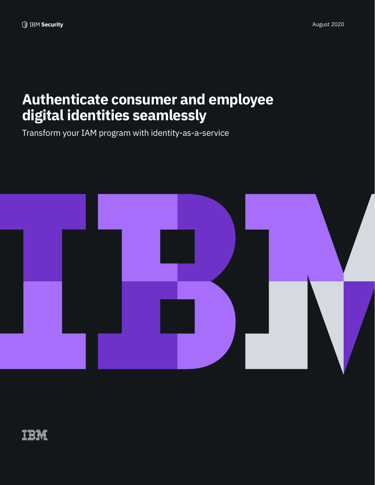# **Authenticate consumer and employee digital identities seamlessly**

Transform your IAM program with identity-as-a-service



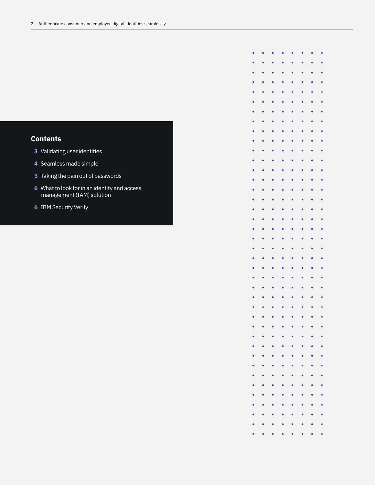## **Contents**

- Validating user identities
- Seamless made simple
- Taking the pain out of passwords
- What to look for in an identity and access management (IAM) solution
- IBM Security Verify

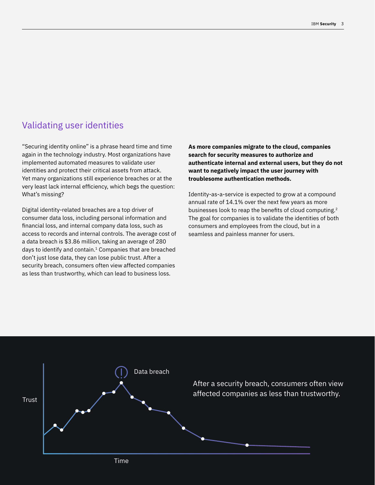## Validating user identities

"Securing identity online" is a phrase heard time and time again in the technology industry. Most organizations have implemented automated measures to validate user identities and protect their critical assets from attack. Yet many organizations still experience breaches or at the very least lack internal efficiency, which begs the question: What's missing?

Digital identity-related breaches are a top driver of consumer data loss, including personal information and financial loss, and internal company data loss, such as access to records and internal controls. The average cost of a data breach is \$3.86 million, taking an average of 280 days to identify and contain.1 Companies that are breached don't just lose data, they can lose public trust. After a security breach, consumers often view affected companies as less than trustworthy, which can lead to business loss.

**As more companies migrate to the cloud, companies search for security measures to authorize and authenticate internal and external users, but they do not want to negatively impact the user journey with troublesome authentication methods.** 

Identity-as-a-service is expected to grow at a compound annual rate of 14.1% over the next few years as more businesses look to reap the benefits of cloud computing.<sup>2</sup> The goal for companies is to validate the identities of both consumers and employees from the cloud, but in a seamless and painless manner for users.

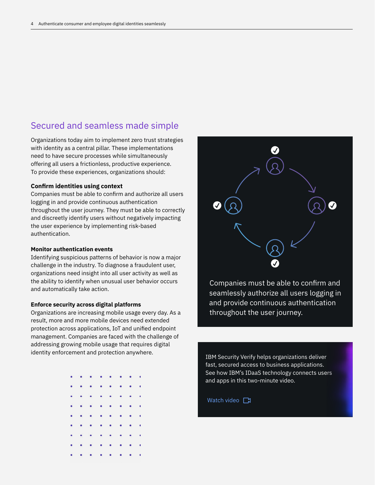# Secured and seamless made simple

Organizations today aim to implement zero trust strategies with identity as a central pillar. These implementations need to have secure processes while simultaneously offering all users a frictionless, productive experience. To provide these experiences, organizations should:

#### **Confirm identities using context**

Companies must be able to confirm and authorize all users logging in and provide continuous authentication throughout the user journey. They must be able to correctly and discreetly identify users without negatively impacting the user experience by implementing risk-based authentication.

### **Monitor authentication events**

Identifying suspicious patterns of behavior is now a major challenge in the industry. To diagnose a fraudulent user, organizations need insight into all user activity as well as the ability to identify when unusual user behavior occurs and automatically take action.

#### **Enforce security across digital platforms**

Organizations are increasing mobile usage every day. As a result, more and more mobile devices need extended protection across applications, IoT and unified endpoint management. Companies are faced with the challenge of addressing growing mobile usage that requires digital identity enforcement and protection anywhere.

|  | $\mathbf{a}$ , and $\mathbf{a}$ , and $\mathbf{a}$ , and $\mathbf{a}$ , and $\mathbf{a}$ |  |  |  |
|--|------------------------------------------------------------------------------------------|--|--|--|
|  | and a series of the control of                                                           |  |  |  |
|  | <b>Contract American Street</b>                                                          |  |  |  |
|  | <b>Contract Contract Contract Contract</b>                                               |  |  |  |
|  | a construction of the con-                                                               |  |  |  |
|  | and a series of the control                                                              |  |  |  |
|  | <b>Contract Contract Contract Contract</b>                                               |  |  |  |
|  | <b>CONTRACTOR</b> CALL AT THE TWO                                                        |  |  |  |
|  | $\mathbf{r}$ , and $\mathbf{r}$ , and $\mathbf{r}$ , and $\mathbf{r}$ , and $\mathbf{r}$ |  |  |  |



Companies must be able to confirm and seamlessly authorize all users logging in and provide continuous authentication throughout the user journey.

IBM Security Verify helps organizations deliver fast, secured access to business applications. [See how IBM's IDaaS technology connects users](https://mediacenter.ibm.com/media/1_mcarhuuz)  and apps in this two-minute video.

#### [Watch video](https://mediacenter.ibm.com/media/1_mcarhuuz)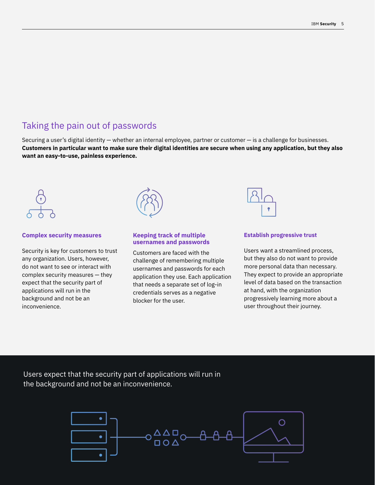## Taking the pain out of passwords

Securing a user's digital identity — whether an internal employee, partner or customer — is a challenge for businesses. **Customers in particular want to make sure their digital identities are secure when using any application, but they also want an easy-to-use, painless experience.** 



#### **Complex security measures**

Security is key for customers to trust any organization. Users, however, do not want to see or interact with complex security measures — they expect that the security part of applications will run in the background and not be an inconvenience.



#### **Keeping track of multiple usernames and passwords**

Customers are faced with the challenge of remembering multiple usernames and passwords for each application they use. Each application that needs a separate set of log-in credentials serves as a negative blocker for the user.



#### **Establish progressive trust**

Users want a streamlined process, but they also do not want to provide more personal data than necessary. They expect to provide an appropriate level of data based on the transaction at hand, with the organization progressively learning more about a user throughout their journey.

Users expect that the security part of applications will run in the background and not be an inconvenience.

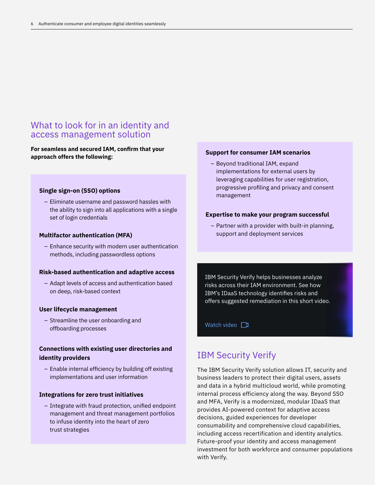## What to look for in an identity and access management solution

**For seamless and secured IAM, confirm that your approach offers the following:** 

#### **Single sign-on (SSO) options**

– Eliminate username and password hassles with the ability to sign into all applications with a single set of login credentials

#### **Multifactor authentication (MFA)**

– Enhance security with modern user authentication methods, including passwordless options

#### **Risk-based authentication and adaptive access**

– Adapt levels of access and authentication based on deep, risk-based context

#### **User lifecycle management**

– Streamline the user onboarding and offboarding processes

### **Connections with existing user directories and identity providers**

– Enable internal efficiency by building off existing implementations and user information

#### **Integrations for zero trust initiatives**

– Integrate with fraud protection, unified endpoint management and threat management portfolios to infuse identity into the heart of zero trust strategies

#### **Support for consumer IAM scenarios**

– Beyond traditional IAM, expand implementations for external users by leveraging capabilities for user registration, progressive profiling and privacy and consent management

#### **Expertise to make your program successful**

– Partner with a provider with built-in planning, support and deployment services

IBM Security Verify helps businesses analyze risks across their IAM environment. See how IBM's IDaaS technology identifies risks and offers suggested remediation in this short video.

[Watch video](https://mediacenter.ibm.com/media/1_1kgp1exh)

## IBM Security Verify

The IBM Security Verify solution allows IT, security and business leaders to protect their digital users, assets and data in a hybrid multicloud world, while promoting internal process efficiency along the way. Beyond SSO and MFA, Verify is a modernized, modular IDaaS that provides AI-powered context for adaptive access decisions, guided experiences for developer consumability and comprehensive cloud capabilities, including access recertification and identity analytics. Future-proof your identity and access management investment for both workforce and consumer populations with Verify.